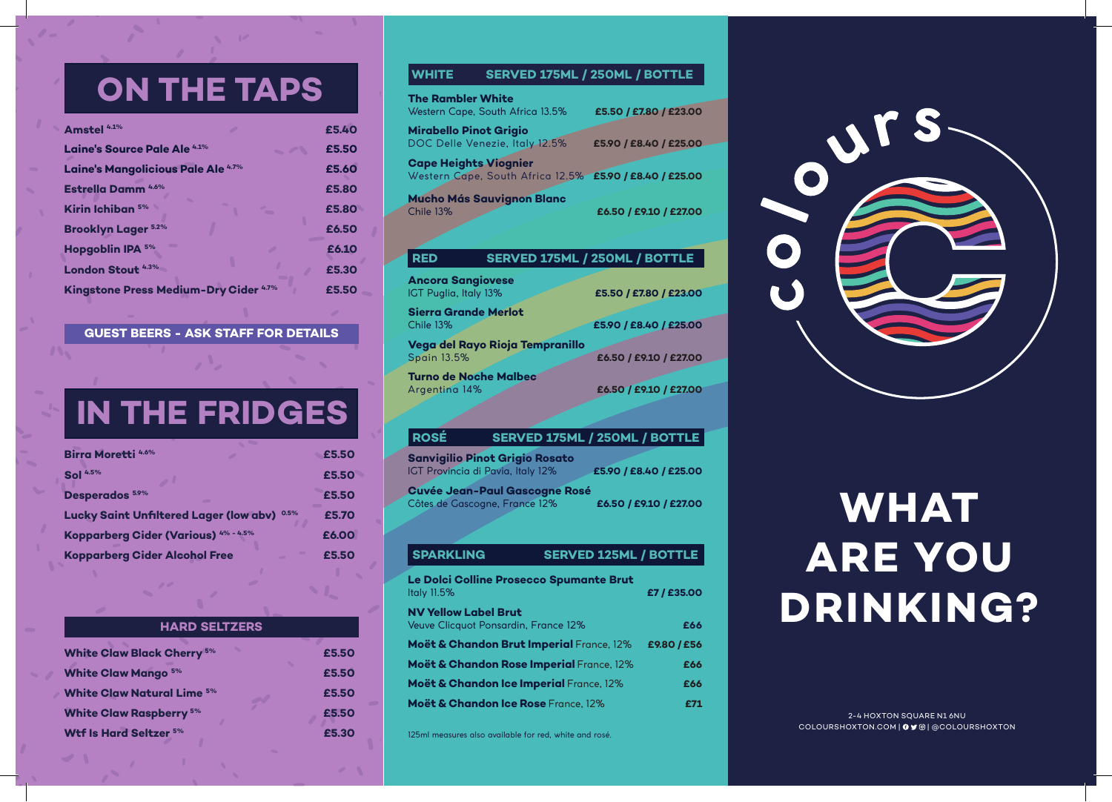## **ON THE TAPS**

| Amstel <sup>4.1%</sup>                        |   | £5.40 |
|-----------------------------------------------|---|-------|
| <b>Laine's Source Pale Ale 4.1%</b>           |   | £5.50 |
| Laine's Mangolicious Pale Ale <sup>4.7%</sup> |   | £5.60 |
| <b>Estrella Damm</b> 4.6%                     |   | £5.80 |
| Kirin Ichiban 5%                              | - | £5.80 |
| <b>Brooklyn Lager 5.2%</b>                    |   | £6.50 |
| <b>Hopgoblin IPA 5%</b>                       |   | £6.10 |
| <b>London Stout 4.3%</b>                      |   | £5.30 |
| Kingstone Press Medium-Dry Cider 4.7%         |   | £5.50 |

### **GUEST BEERS - ASK STAFF FOR DETAILS**

# **IN THE FRIDGES**

| <b>Birra Moretti 4.6%</b>                     |      | £5.50 |
|-----------------------------------------------|------|-------|
| <b>Sol</b> 4.5%                               |      | £5.50 |
| Desperados <sup>5.9%</sup>                    |      | £5.50 |
| <b>Lucky Saint Unfiltered Lager (low abv)</b> | 0.5% | £5.70 |
| Kopparberg Cider (Various) 4% - 4.5%          |      | £6.00 |
| <b>Kopparberg Cider Alcohol Free</b>          |      | £5.50 |

| <b>HARD SELTZERS</b>              |       |
|-----------------------------------|-------|
| <b>White Claw Black Cherry 5%</b> | £5.50 |
| <b>White Claw Mango 5%</b>        | £5.50 |
| <b>White Claw Natural Lime 5%</b> | £5.50 |
| <b>White Claw Raspberry 5%</b>    | £5.50 |
| <b>Wtf Is Hard Seltzer 5%</b>     | £5.30 |

### **WHITE SERVED 175ML / 250ML / BOTTLE**

| <b>The Rambler White</b>                                 | Western Cape, South Africa 13.5% | £5.50 / £7.80 / £23.00                                  |
|----------------------------------------------------------|----------------------------------|---------------------------------------------------------|
| <b>Mirabello Pinot Grigio</b>                            | DOC Delle Venezie, Italy 12.5%   | £5.90 / £8.40 / £25.00                                  |
| <b>Cape Heights Viognier</b>                             |                                  | Western Cape, South Africa 12.5% £5.90 / £8.40 / £25.00 |
| <b>Chile 13%</b>                                         | <b>Mucho Más Sauvignon Blanc</b> | £6.50 / £9.10 / £27.00                                  |
| <b>RED</b>                                               |                                  | SERVED 175ML / 250ML / BOTTLE                           |
| <b>Ancora Sangiovese</b><br><b>IGT Puglia, Italy 13%</b> |                                  | £5.50 / £7.80 / £23.00                                  |
| <b>Sierra Grande Merlot</b><br><b>Chile 13%</b>          |                                  | £5.90 / £8.40 / £25.00                                  |
|                                                          |                                  |                                                         |
| <b>Spain 13.5%</b>                                       | Vega del Rayo Rioja Tempranillo  | £6.50 / £9.10 / £27.00                                  |

**Turno de Noche Malbec**

### **ROSÉ SERVED 175ML / 250ML / BOTTLE**

Argentina 14% **£6.50 / £9.10 / £27.00**

**Sanvigilio Pinot Grigio Rosato** IGT Provincia di Pavia, Italy 12% **£5.90 / £8.40 / £25.00 Cuvée Jean-Paul Gascogne Rosé** Côtes de Gascogne, France 12% **£6.50 / £9.10 / £27.00**

### **Le Dolci Colline Prosecco Spumante Brut** Italy 11.5% **£7 / £35.00 NV Yellow Label Brut** Veuve Clicquot Ponsardin, France 12% **£66 Moët & Chandon Brut Imperial** France, 12% **£9.80 / £56 Moët & Chandon Rose Imperial** France, 12% **£66 Moët & Chandon Ice Imperial** France, 12% **£66 Moët & Chandon Ice Rose** France, 12% **£71 SPARKLING SERVED 125ML / BOTTLE**

125ml measures also available for red, white and rosé.

|   | JTS |  |
|---|-----|--|
|   |     |  |
| O |     |  |
|   |     |  |
|   |     |  |

# **WHAT ARE YOU DRINKING?**

2-4 HOXTON SQUARE N1 6NU COLOURSHOXTON.COM | 0 Y @ | @COLOURSHOXTON